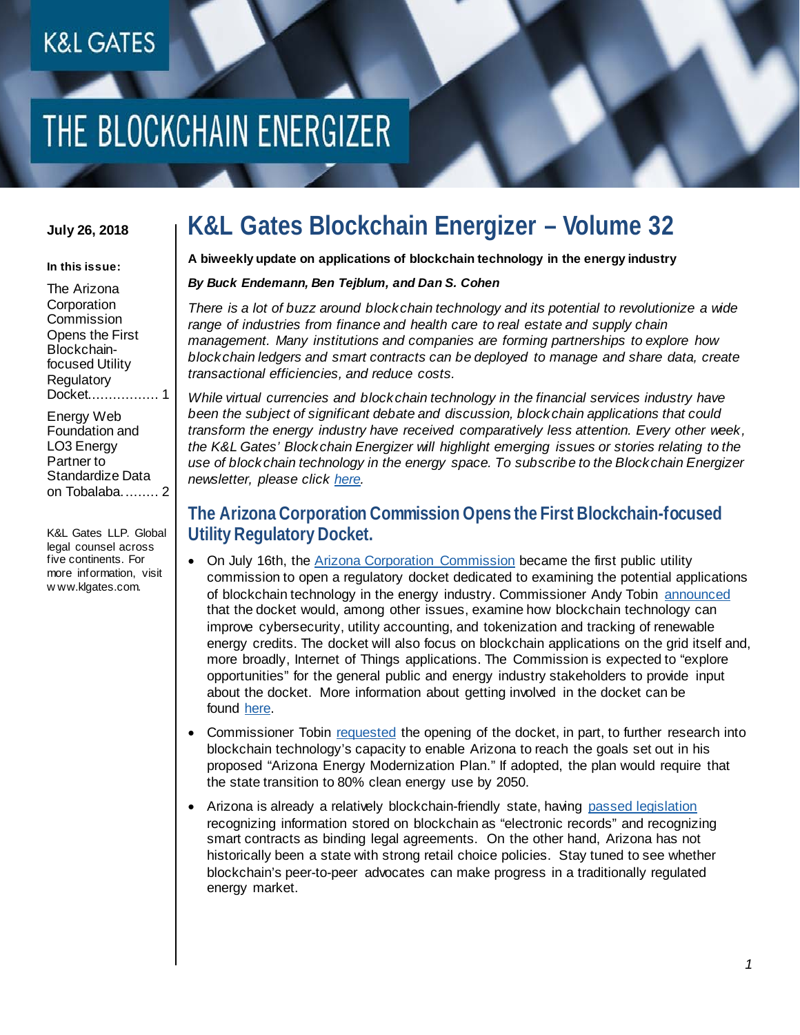# THE BLOCKCHAIN ENERGIZER

#### **July 26, 2018**

#### **In this issue:**

[The Arizona](#page-0-0)  **Corporation Commission** [Opens the First](#page-0-0)  [Blockchain](#page-0-0)[focused Utility](#page-0-0)  **Regulatory** [Docket.................](#page-0-0) 1

[Energy Web](#page-1-0)  [Foundation and](#page-1-0)  [LO3 Energy](#page-1-0)  [Partner to](#page-1-0)  [Standardize Data](#page-1-0)  [on Tobalaba.........](#page-1-0) 2

K&L Gates LLP. Global legal counsel across five continents. For more information, visit w ww.klgates.com.

### **K&L Gates Blockchain Energizer – Volume 32**

**A biweekly update on applications of blockchain technology in the energy industry**

#### *By Buck Endemann, Ben Tejblum, and Dan S. Cohen*

*There is a lot of buzz around blockchain technology and its potential to revolutionize a wide*  range of industries from finance and health care to real estate and supply chain *management. Many institutions and companies are forming partnerships to explore how blockchain ledgers and smart contracts can be deployed to manage and share data, create transactional efficiencies, and reduce costs.*

*While virtual currencies and blockchain technology in the financial services industry have been the subject of significant debate and discussion, blockchain applications that could transform the energy industry have received comparatively less attention. Every other week, the K&L Gates' Blockchain Energizer will highlight emerging issues or stories relating to the use of blockchain technology in the energy space. To subscribe to the Blockchain Energizer newsletter, please click [here.](mailto:janina.quilacio@klgates.com?subject=Subscribe:%20Blockchain%20Energizer)*

#### <span id="page-0-0"></span>**The Arizona Corporation Commission Opens the First Blockchain-focused Utility Regulatory Docket.**

- On July 16th, the [Arizona Corporation Commission](https://www.azcc.gov/divisions/administration/news/2018releases/7-16-18-tobin-blockchain.asp) became the first public utility commission to open a regulatory docket dedicated to examining the potential applications of blockchain technology in the energy industry. Commissioner Andy Tobin [announced](https://www.azcc.gov/divisions/administration/news/2018releases/7-16-18-tobin-blockchain.asp) that the docket would, among other issues, examine how blockchain technology can improve cybersecurity, utility accounting, and tokenization and tracking of renewable energy credits. The docket will also focus on blockchain applications on the grid itself and, more broadly, Internet of Things applications. The Commission is expected to "explore opportunities" for the general public and energy industry stakeholders to provide input about the docket. More information about getting involved in the docket can be found [here.](http://docket.images.azcc.gov/0000190434.pdf)
- Commissioner Tobin [requested](https://www.utilitydive.com/news/arizona-regulators-open-first-us-transactive-energy-docket/527900/) the opening of the docket, in part, to further research into blockchain technology's capacity to enable Arizona to reach the goals set out in his proposed "Arizona Energy Modernization Plan." If adopted, the plan would require that the state transition to 80% clean energy use by 2050.
- Arizona is already a relatively blockchain-friendly state, having [passed legislation](http://www.klgates.com/blockchain-energizer-vol-3-05-04-2017/) recognizing information stored on blockchain as "electronic records" and recognizing smart contracts as binding legal agreements. On the other hand, Arizona has not historically been a state with strong retail choice policies. Stay tuned to see whether blockchain's peer-to-peer advocates can make progress in a traditionally regulated energy market.